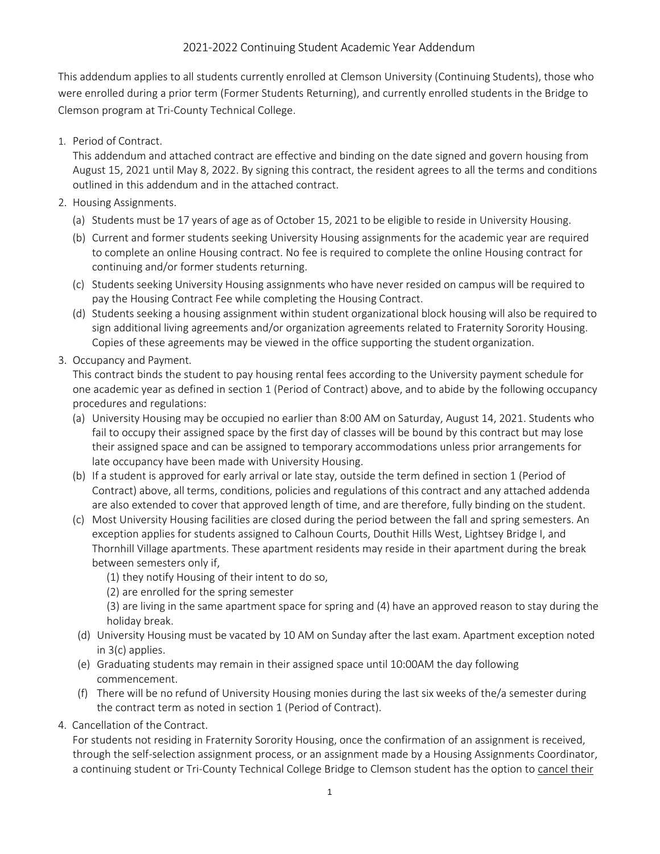## 2021-2022 Continuing Student Academic Year Addendum

This addendum applies to all students currently enrolled at Clemson University (Continuing Students), those who were enrolled during a prior term (Former Students Returning), and currently enrolled students in the Bridge to Clemson program at Tri-County Technical College.

1. Period of Contract.

This addendum and attached contract are effective and binding on the date signed and govern housing from August 15, 2021 until May 8, 2022. By signing this contract, the resident agrees to all the terms and conditions outlined in this addendum and in the attached contract.

- 2. Housing Assignments.
	- (a) Students must be 17 years of age as of October 15, 2021 to be eligible to reside in University Housing.
	- (b) Current and former students seeking University Housing assignments for the academic year are required to complete an online Housing contract. No fee is required to complete the online Housing contract for continuing and/or former students returning.
	- (c) Students seeking University Housing assignments who have never resided on campus will be required to pay the Housing Contract Fee while completing the Housing Contract.
	- (d) Students seeking a housing assignment within student organizational block housing will also be required to sign additional living agreements and/or organization agreements related to Fraternity Sorority Housing. Copies of these agreements may be viewed in the office supporting the student organization.
- 3. Occupancy and Payment.

This contract binds the student to pay housing rental fees according to the University payment schedule for one academic year as defined in section 1 (Period of Contract) above, and to abide by the following occupancy procedures and regulations:

- (a) University Housing may be occupied no earlier than 8:00 AM on Saturday, August 14, 2021. Students who fail to occupy their assigned space by the first day of classes will be bound by this contract but may lose their assigned space and can be assigned to temporary accommodations unless prior arrangements for late occupancy have been made with University Housing.
- (b) If a student is approved for early arrival or late stay, outside the term defined in section 1 (Period of Contract) above, all terms, conditions, policies and regulations of this contract and any attached addenda are also extended to cover that approved length of time, and are therefore, fully binding on the student.
- (c) Most University Housing facilities are closed during the period between the fall and spring semesters. An exception applies for students assigned to Calhoun Courts, Douthit Hills West, Lightsey Bridge I, and Thornhill Village apartments. These apartment residents may reside in their apartment during the break between semesters only if,
	- (1) they notify Housing of their intent to do so,
	- (2) are enrolled for the spring semester

(3) are living in the same apartment space for spring and (4) have an approved reason to stay during the holiday break.

- (d) University Housing must be vacated by 10 AM on Sunday after the last exam. Apartment exception noted in 3(c) applies.
- (e) Graduating students may remain in their assigned space until 10:00AM the day following commencement.
- (f) There will be no refund of University Housing monies during the last six weeks of the/a semester during the contract term as noted in section 1 (Period of Contract).
- 4. Cancellation of the Contract.

For students not residing in Fraternity Sorority Housing, once the confirmation of an assignment is received, through the self-selection assignment process, or an assignment made by a Housing Assignments Coordinator, a continuing student or Tri-County Technical College Bridge to Clemson student has the option to cancel their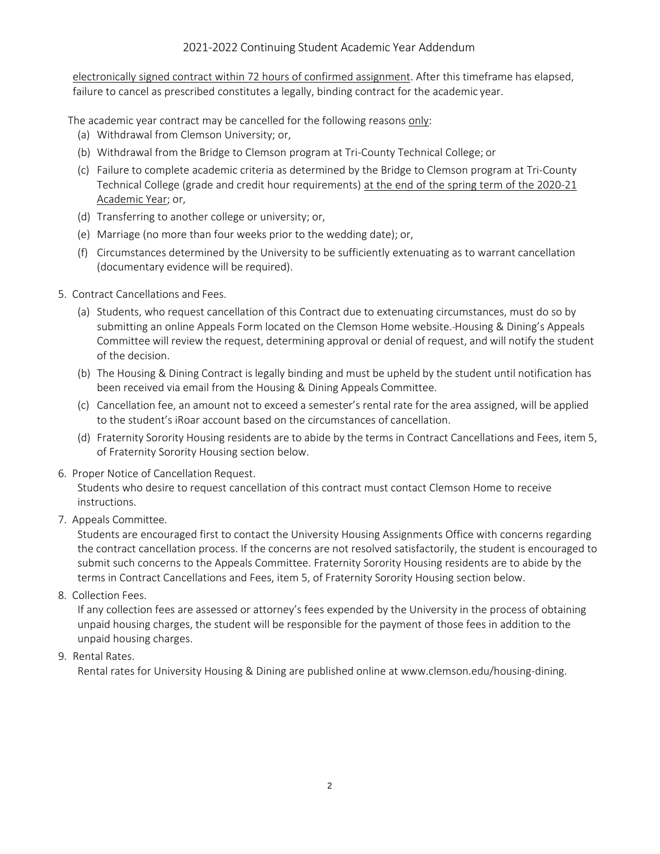## 2021-2022 Continuing Student Academic Year Addendum

electronically signed contract within 72 hours of confirmed assignment. After this timeframe has elapsed, failure to cancel as prescribed constitutes a legally, binding contract for the academic year.

The academic year contract may be cancelled for the following reasons only:

- (a) Withdrawal from Clemson University; or,
- (b) Withdrawal from the Bridge to Clemson program at Tri-County Technical College; or
- (c) Failure to complete academic criteria as determined by the Bridge to Clemson program at Tri-County Technical College (grade and credit hour requirements) at the end of the spring term of the 2020-21 Academic Year; or,
- (d) Transferring to another college or university; or,
- (e) Marriage (no more than four weeks prior to the wedding date); or,
- (f) Circumstances determined by the University to be sufficiently extenuating as to warrant cancellation (documentary evidence will be required).
- 5. Contract Cancellations and Fees.
	- (a) Students, who request cancellation of this Contract due to extenuating circumstances, must do so by submitting an online Appeals Form located on the Clemson Home website. Housing & Dining's Appeals Committee will review the request, determining approval or denial of request, and will notify the student of the decision.
	- (b) The Housing & Dining Contract is legally binding and must be upheld by the student until notification has been received via email from the Housing & Dining Appeals Committee.
	- (c) Cancellation fee, an amount not to exceed a semester's rental rate for the area assigned, will be applied to the student's iRoar account based on the circumstances of cancellation.
	- (d) Fraternity Sorority Housing residents are to abide by the terms in Contract Cancellations and Fees, item 5, of Fraternity Sorority Housing section below.
- 6. Proper Notice of Cancellation Request.

Students who desire to request cancellation of this contract must contact Clemson Home to receive instructions.

7. Appeals Committee.

Students are encouraged first to contact the University Housing Assignments Office with concerns regarding the contract cancellation process. If the concerns are not resolved satisfactorily, the student is encouraged to submit such concerns to the Appeals Committee. Fraternity Sorority Housing residents are to abide by the terms in Contract Cancellations and Fees, item 5, of Fraternity Sorority Housing section below.

8. Collection Fees.

If any collection fees are assessed or attorney's fees expended by the University in the process of obtaining unpaid housing charges, the student will be responsible for the payment of those fees in addition to the unpaid housing charges.

9. Rental Rates.

Rental rates for University Housing & Dining are published online at [www.clemson.edu/housing-dining.](http://www.clemson.edu/housing-dining)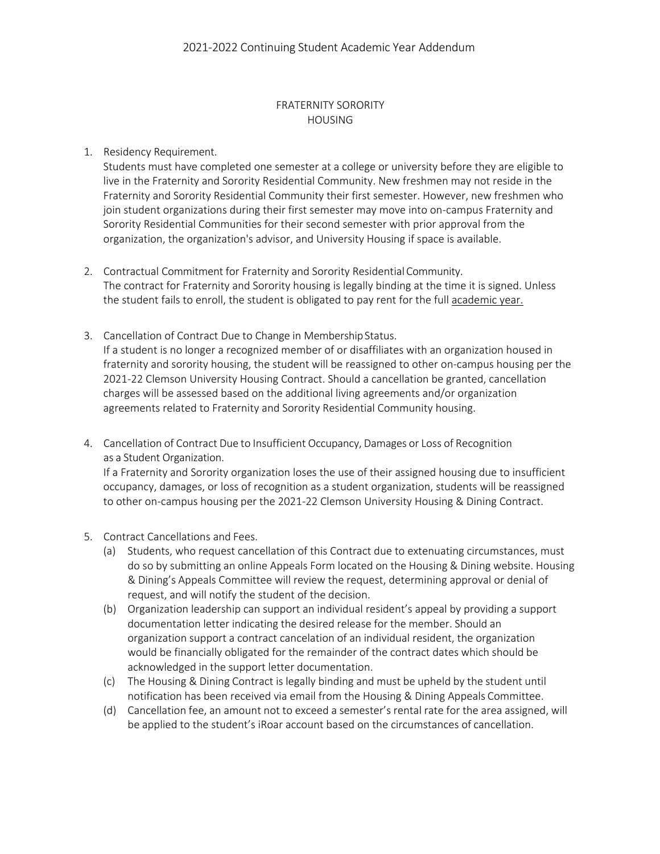## FRATERNITY SORORITY HOUSING

## 1. Residency Requirement.

Students must have completed one semester at a college or university before they are eligible to live in the Fraternity and Sorority Residential Community. New freshmen may not reside in the Fraternity and Sorority Residential Community their first semester. However, new freshmen who join student organizations during their first semester may move into on-campus Fraternity and Sorority Residential Communities for their second semester with prior approval from the organization, the organization's advisor, and University Housing if space is available.

- 2. Contractual Commitment for Fraternity and Sorority Residential Community. The contract for Fraternity and Sorority housing is legally binding at the time it is signed. Unless the student fails to enroll, the student is obligated to pay rent for the full academic year.
- 3. Cancellation of Contract Due to Change in MembershipStatus. If a student is no longer a recognized member of or disaffiliates with an organization housed in fraternity and sorority housing, the student will be reassigned to other on-campus housing per the 2021-22 Clemson University Housing Contract. Should a cancellation be granted, cancellation charges will be assessed based on the additional living agreements and/or organization agreements related to Fraternity and Sorority Residential Community housing.
- 4. Cancellation of Contract Due to Insufficient Occupancy, Damages or Loss of Recognition as a Student Organization. If a Fraternity and Sorority organization loses the use of their assigned housing due to insufficient occupancy, damages, or loss of recognition as a student organization, students will be reassigned to other on-campus housing per the 2021-22 Clemson University Housing & Dining Contract.
- 5. Contract Cancellations and Fees.
	- (a) Students, who request cancellation of this Contract due to extenuating circumstances, must do so by submitting an online Appeals Form located on the Housing & Dining website. Housing & Dining's Appeals Committee will review the request, determining approval or denial of request, and will notify the student of the decision.
	- (b) Organization leadership can support an individual resident's appeal by providing a support documentation letter indicating the desired release for the member. Should an organization support a contract cancelation of an individual resident, the organization would be financially obligated for the remainder of the contract dates which should be acknowledged in the support letter documentation.
	- (c) The Housing & Dining Contract is legally binding and must be upheld by the student until notification has been received via email from the Housing & Dining Appeals Committee.
	- (d) Cancellation fee, an amount not to exceed a semester's rental rate for the area assigned, will be applied to the student's iRoar account based on the circumstances of cancellation.